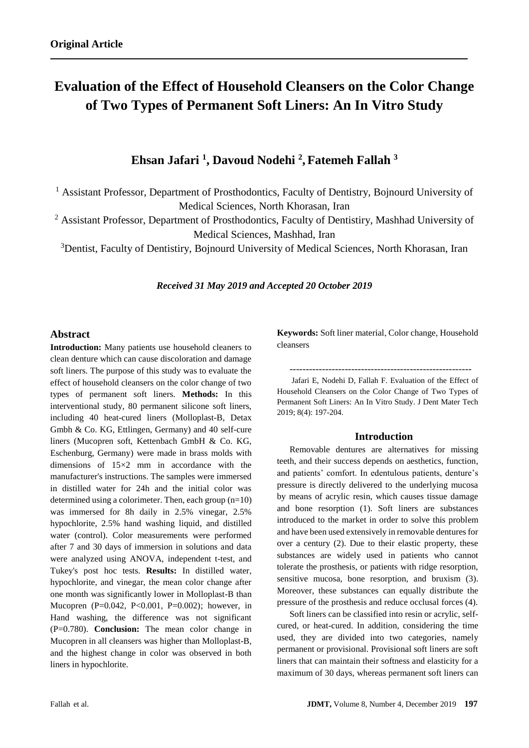# **Evaluation of the Effect of Household Cleansers on the Color Change of Two Types of Permanent Soft Liners: An In Vitro Study**

**Ehsan Jafari <sup>1</sup> , Davoud Nodehi <sup>2</sup> , Fatemeh Fallah <sup>3</sup>**

<sup>1</sup> Assistant Professor, Department of Prosthodontics, Faculty of Dentistry, Bojnourd University of Medical Sciences, North Khorasan, Iran

<sup>2</sup> Assistant Professor, Department of Prosthodontics, Faculty of Dentistiry, Mashhad University of Medical Sciences, Mashhad, Iran

<sup>3</sup> Dentist, Faculty of Dentistiry, Bojnourd University of Medical Sciences, North Khorasan, Iran

### *Received 31 May 2019 and Accepted 20 October 2019*

## **Abstract**

**Introduction:** Many patients use household cleaners to clean denture which can cause discoloration and damage soft liners. The purpose of this study was to evaluate the effect of household cleansers on the color change of two types of permanent soft liners. **Methods:** In this interventional study, 80 permanent silicone soft liners, including 40 heat-cured liners (Molloplast-B, Detax Gmbh & Co. KG, Ettlingen, Germany) and 40 self-cure liners (Mucopren soft, Kettenbach GmbH & Co. KG, Eschenburg, Germany) were made in brass molds with dimensions of 15×2 mm in accordance with the manufacturer's instructions. The samples were immersed in distilled water for 24h and the initial color was determined using a colorimeter. Then, each group (n=10) was immersed for 8h daily in 2.5% vinegar, 2.5% hypochlorite, 2.5% hand washing liquid, and distilled water (control). Color measurements were performed after 7 and 30 days of immersion in solutions and data were analyzed using ANOVA, independent t-test, and Tukey's post hoc tests. **Results:** In distilled water, hypochlorite, and vinegar, the mean color change after one month was significantly lower in Molloplast-B than Mucopren (P=0.042, P<0.001, P=0.002); however, in Hand washing, the difference was not significant (P=0.780). **Conclusion:** The mean color change in Mucopren in all cleansers was higher than Molloplast-B, and the highest change in color was observed in both liners in hypochlorite.

**Keywords:** Soft liner material, Color change, Household cleansers

--------------------------------------------------------

Jafari E, Nodehi D, Fallah F. Evaluation of the Effect of Household Cleansers on the Color Change of Two Types of Permanent Soft Liners: An In Vitro Study. J Dent Mater Tech 2019; 8(4): 197-204.

## **Introduction**

Removable dentures are alternatives for missing teeth, and their success depends on aesthetics, function, and patients' comfort. In edentulous patients, denture's pressure is directly delivered to the underlying mucosa by means of acrylic resin, which causes tissue damage and bone resorption (1). Soft liners are substances introduced to the market in order to solve this problem and have been used extensively in removable dentures for over a century (2). Due to their elastic property, these substances are widely used in patients who cannot tolerate the prosthesis, or patients with ridge resorption, sensitive mucosa, bone resorption, and bruxism (3). Moreover, these substances can equally distribute the pressure of the prosthesis and reduce occlusal forces (4).

Soft liners can be classified into resin or acrylic, selfcured, or heat-cured. In addition, considering the time used, they are divided into two categories, namely permanent or provisional. Provisional soft liners are soft liners that can maintain their softness and elasticity for a maximum of 30 days, whereas permanent soft liners can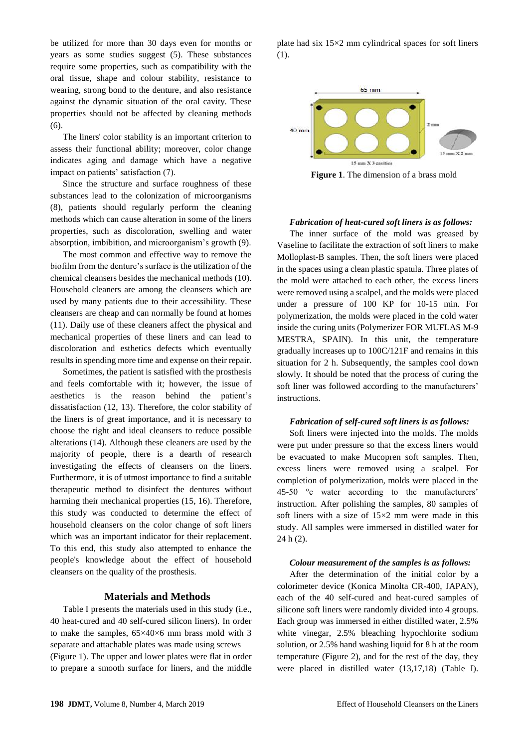be utilized for more than 30 days even for months or years as some studies suggest (5). These substances require some properties, such as compatibility with the oral tissue, shape and colour stability, resistance to wearing, strong bond to the denture, and also resistance against the dynamic situation of the oral cavity. These properties should not be affected by cleaning methods  $(6)$ .

The liners' color stability is an important criterion to assess their functional ability; moreover, color change indicates aging and damage which have a negative impact on patients' satisfaction (7).

Since the structure and surface roughness of these substances lead to the colonization of microorganisms (8), patients should regularly perform the cleaning methods which can cause alteration in some of the liners properties, such as discoloration, swelling and water absorption, imbibition, and microorganism's growth (9).

The most common and effective way to remove the biofilm from the denture's surface is the utilization of the chemical cleansers besides the mechanical methods (10). Household cleaners are among the cleansers which are used by many patients due to their accessibility. These cleansers are cheap and can normally be found at homes (11). Daily use of these cleaners affect the physical and mechanical properties of these liners and can lead to discoloration and esthetics defects which eventually results in spending more time and expense on their repair.

Sometimes, the patient is satisfied with the prosthesis and feels comfortable with it; however, the issue of aesthetics is the reason behind the patient's dissatisfaction (12, 13). Therefore, the color stability of the liners is of great importance, and it is necessary to choose the right and ideal cleansers to reduce possible alterations (14). Although these cleaners are used by the majority of people, there is a dearth of research investigating the effects of cleansers on the liners. Furthermore, it is of utmost importance to find a suitable therapeutic method to disinfect the dentures without harming their mechanical properties (15, 16). Therefore, this study was conducted to determine the effect of household cleansers on the color change of soft liners which was an important indicator for their replacement. To this end, this study also attempted to enhance the people's knowledge about the effect of household cleansers on the quality of the prosthesis.

## **Materials and Methods**

Table I presents the materials used in this study (i.e., 40 heat-cured and 40 self-cured silicon liners). In order to make the samples, 65×40×6 mm brass mold with 3 separate and attachable plates was made using screws (Figure 1). The upper and lower plates were flat in order to prepare a smooth surface for liners, and the middle

plate had six 15×2 mm cylindrical spaces for soft liners (1).



**Figure 1**. The dimension of a brass mold

#### *Fabrication of heat-cured soft liners is as follows:*

The inner surface of the mold was greased by Vaseline to facilitate the extraction of soft liners to make Molloplast-B samples. Then, the soft liners were placed in the spaces using a clean plastic spatula. Three plates of the mold were attached to each other, the excess liners were removed using a scalpel, and the molds were placed under a pressure of 100 KP for 10-15 min. For polymerization, the molds were placed in the cold water inside the curing units (Polymerizer FOR MUFLAS M-9 MESTRA, SPAIN). In this unit, the temperature gradually increases up to 100C/121F and remains in this situation for 2 h. Subsequently, the samples cool down slowly. It should be noted that the process of curing the soft liner was followed according to the manufacturers' instructions.

#### *Fabrication of self-cured soft liners is as follows:*

Soft liners were injected into the molds. The molds were put under pressure so that the excess liners would be evacuated to make Mucopren soft samples. Then, excess liners were removed using a scalpel. For completion of polymerization, molds were placed in the 45-50 °c water according to the manufacturers' instruction. After polishing the samples, 80 samples of soft liners with a size of  $15\times2$  mm were made in this study. All samples were immersed in distilled water for 24 h (2).

#### *Colour measurement of the samples is as follows:*

After the determination of the initial color by a colorimeter device (Konica Minolta CR-400, JAPAN), each of the 40 self-cured and heat-cured samples of silicone soft liners were randomly divided into 4 groups. Each group was immersed in either distilled water, 2.5% white vinegar, 2.5% bleaching hypochlorite sodium solution, or 2.5% hand washing liquid for 8 h at the room temperature (Figure 2), and for the rest of the day, they were placed in distilled water (13,17,18) (Table I).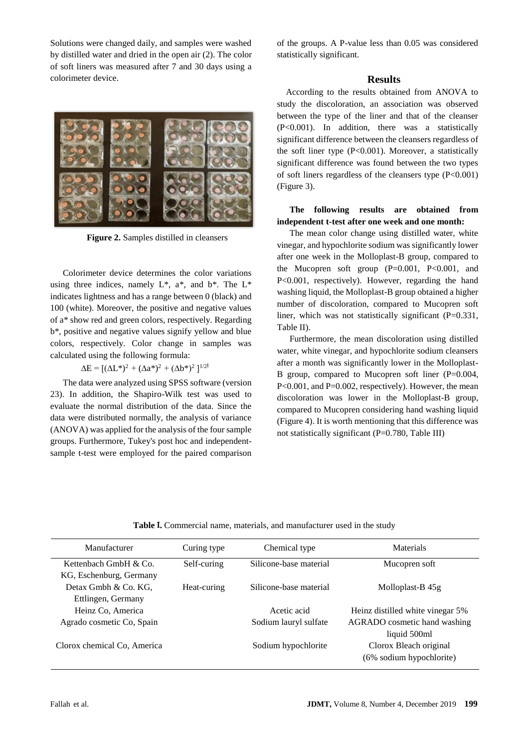Solutions were changed daily, and samples were washed by distilled water and dried in the open air (2). The color of soft liners was measured after 7 and 30 days using a colorimeter device.



**Figure 2.** Samples distilled in cleansers

Colorimeter device determines the color variations using three indices, namely  $L^*$ ,  $a^*$ , and  $b^*$ . The  $L^*$ indicates lightness and has a range between 0 (black) and 100 (white). Moreover, the positive and negative values of a\* show red and green colors, respectively. Regarding b\*, positive and negative values signify yellow and blue colors, respectively. Color change in samples was calculated using the following formula:

 $\Delta E = [(\Delta L^*)^2 + (\Delta a^*)^2 + (\Delta b^*)^2]^{1/2}$ 

The data were analyzed using SPSS software (version 23). In addition, the Shapiro-Wilk test was used to evaluate the normal distribution of the data. Since the data were distributed normally, the analysis of variance (ANOVA) was applied for the analysis of the four sample groups. Furthermore, Tukey's post hoc and independentsample t-test were employed for the paired comparison of the groups. A P-value less than 0.05 was considered statistically significant.

#### **Results**

 According to the results obtained from ANOVA to study the discoloration, an association was observed between the type of the liner and that of the cleanser (P<0.001). In addition, there was a statistically significant difference between the cleansers regardless of the soft liner type  $(P<0.001)$ . Moreover, a statistically significant difference was found between the two types of soft liners regardless of the cleansers type  $(P<0.001)$ (Figure 3).

## **The following results are obtained from independent t-test after one week and one month:**

The mean color change using distilled water, white vinegar, and hypochlorite sodium was significantly lower after one week in the Molloplast-B group, compared to the Mucopren soft group  $(P=0.001, P<0.001, and$ P<0.001, respectively). However, regarding the hand washing liquid, the Molloplast-B group obtained a higher number of discoloration, compared to Mucopren soft liner, which was not statistically significant (P=0.331, Table II).

Furthermore, the mean discoloration using distilled water, white vinegar, and hypochlorite sodium cleansers after a month was significantly lower in the Molloplast-B group, compared to Mucopren soft liner (P=0.004, P<0.001, and P=0.002, respectively). However, the mean discoloration was lower in the Molloplast-B group, compared to Mucopren considering hand washing liquid (Figure 4). It is worth mentioning that this difference was not statistically significant (P=0.780, Table III)

| Table I. Commercial name, materials, and manufacturer used in the study |  |  |  |
|-------------------------------------------------------------------------|--|--|--|
|-------------------------------------------------------------------------|--|--|--|

| Manufacturer                | Curing type | Chemical type          | Materials                        |
|-----------------------------|-------------|------------------------|----------------------------------|
| Kettenbach GmbH & Co.       | Self-curing | Silicone-base material | Mucopren soft                    |
| KG, Eschenburg, Germany     |             |                        |                                  |
| Detax Gmbh & Co. KG,        | Heat-curing | Silicone-base material | Molloplast-B 45g                 |
| Ettlingen, Germany          |             |                        |                                  |
| Heinz Co, America           |             | Acetic acid            | Heinz distilled white vinegar 5% |
| Agrado cosmetic Co, Spain   |             | Sodium lauryl sulfate  | AGRADO cosmetic hand washing     |
|                             |             |                        | liquid 500ml                     |
| Clorox chemical Co, America |             | Sodium hypochlorite    | Clorox Bleach original           |
|                             |             |                        | (6% sodium hypochlorite)         |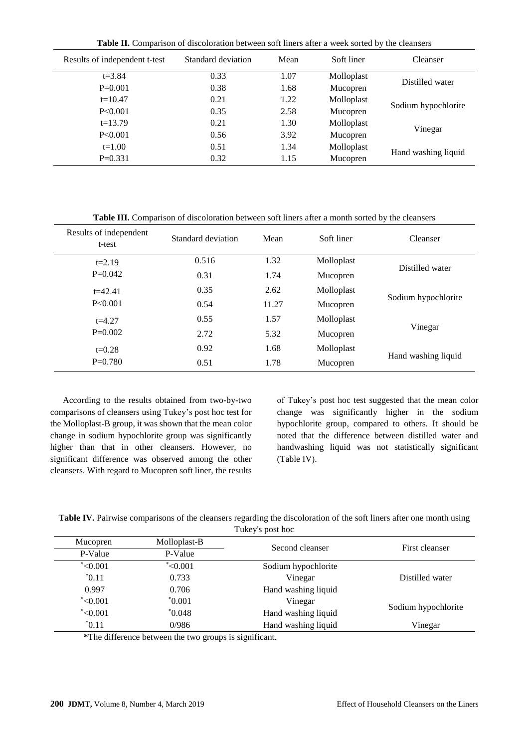**Table II.** Comparison of discoloration between soft liners after a week sorted by the cleansers

| Results of independent t-test | Standard deviation | Mean | Soft liner | <b>Cleanser</b>     |  |
|-------------------------------|--------------------|------|------------|---------------------|--|
| $t = 3.84$                    | 0.33               | 1.07 | Molloplast |                     |  |
| $P=0.001$                     | 0.38               | 1.68 | Mucopren   | Distilled water     |  |
| $t=10.47$                     | 0.21               | 1.22 | Molloplast |                     |  |
| P<0.001                       | 0.35               | 2.58 | Mucopren   | Sodium hypochlorite |  |
| $t=13.79$                     | 0.21               | 1.30 | Molloplast |                     |  |
| P<0.001                       | 0.56               | 3.92 | Mucopren   | Vinegar             |  |
| $t=1.00$                      | 0.51               | 1.34 | Molloplast |                     |  |
| $P=0.331$                     | 0.32               | 1.15 | Mucopren   | Hand washing liquid |  |
|                               |                    |      |            |                     |  |

**Table III.** Comparison of discoloration between soft liners after a month sorted by the cleansers

| Results of independent<br>t-test | Standard deviation | Mean  | Soft liner | Cleanser            |
|----------------------------------|--------------------|-------|------------|---------------------|
| $t = 2.19$                       | 0.516              | 1.32  | Molloplast | Distilled water     |
| $P=0.042$                        | 0.31               | 1.74  | Mucopren   |                     |
| $t = 42.41$                      | 0.35               | 2.62  | Molloplast |                     |
| P < 0.001                        | 0.54               | 11.27 | Mucopren   | Sodium hypochlorite |
| $t = 4.27$                       | 0.55               | 1.57  | Molloplast |                     |
| $P=0.002$                        | 2.72               | 5.32  | Mucopren   | Vinegar             |
| $t=0.28$                         | 0.92               | 1.68  | Molloplast |                     |
| $P=0.780$                        | 0.51               | 1.78  | Mucopren   | Hand washing liquid |

According to the results obtained from two-by-two comparisons of cleansers using Tukey's post hoc test for the Molloplast-B group, it was shown that the mean color change in sodium hypochlorite group was significantly higher than that in other cleansers. However, no significant difference was observed among the other cleansers. With regard to Mucopren soft liner, the results of Tukey's post hoc test suggested that the mean color change was significantly higher in the sodium hypochlorite group, compared to others. It should be noted that the difference between distilled water and handwashing liquid was not statistically significant (Table IV).

| Table IV. Pairwise comparisons of the cleansers regarding the discoloration of the soft liners after one month using |  |
|----------------------------------------------------------------------------------------------------------------------|--|
|                                                                                                                      |  |

| TUKEY'S DOST NOC |              |                     |                     |  |
|------------------|--------------|---------------------|---------------------|--|
| Mucopren         | Molloplast-B | Second cleanser     | First cleanser      |  |
| P-Value          | P-Value      |                     |                     |  |
| $*<0.001$        | $*<0.001$    | Sodium hypochlorite |                     |  |
| $*0.11$          | 0.733        | Vinegar             | Distilled water     |  |
| 0.997            | 0.706        | Hand washing liquid |                     |  |
| $*<0.001$        | $^*0.001$    | Vinegar             |                     |  |
| $*<0.001$        | $*0.048$     | Hand washing liquid | Sodium hypochlorite |  |
| $*0.11$          | 0/986        | Hand washing liquid | Vinegar             |  |

 **\***The difference between the two groups is significant.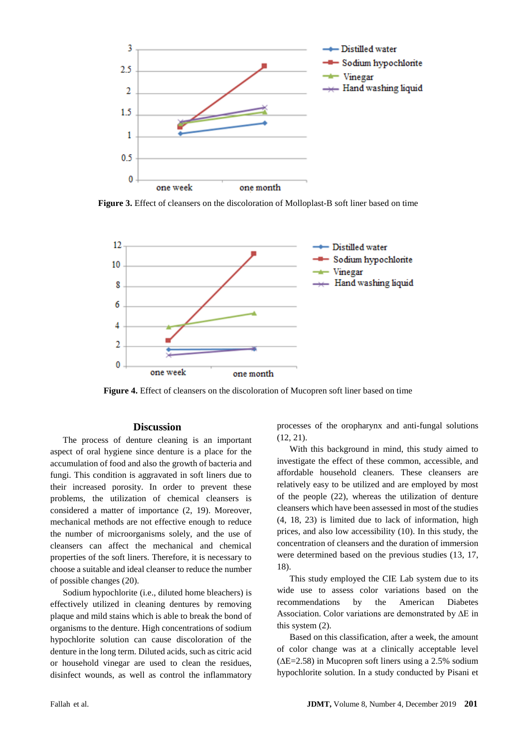

**Figure 3.** Effect of cleansers on the discoloration of Molloplast-B soft liner based on time



**Figure 4.** Effect of cleansers on the discoloration of Mucopren soft liner based on time

## **Discussion**

The process of denture cleaning is an important aspect of oral hygiene since denture is a place for the accumulation of food and also the growth of bacteria and fungi. This condition is aggravated in soft liners due to their increased porosity. In order to prevent these problems, the utilization of chemical cleansers is considered a matter of importance (2, 19). Moreover, mechanical methods are not effective enough to reduce the number of microorganisms solely, and the use of cleansers can affect the mechanical and chemical properties of the soft liners. Therefore, it is necessary to choose a suitable and ideal cleanser to reduce the number of possible changes (20).

Sodium hypochlorite (i.e., diluted home bleachers) is effectively utilized in cleaning dentures by removing plaque and mild stains which is able to break the bond of organisms to the denture. High concentrations of sodium hypochlorite solution can cause discoloration of the denture in the long term. Diluted acids, such as citric acid or household vinegar are used to clean the residues, disinfect wounds, as well as control the inflammatory

processes of the oropharynx and anti-fungal solutions (12, 21).

With this background in mind, this study aimed to investigate the effect of these common, accessible, and affordable household cleaners. These cleansers are relatively easy to be utilized and are employed by most of the people (22), whereas the utilization of denture cleansers which have been assessed in most of the studies (4, 18, 23) is limited due to lack of information, high prices, and also low accessibility (10). In this study, the concentration of cleansers and the duration of immersion were determined based on the previous studies (13, 17, 18).

This study employed the CIE Lab system due to its wide use to assess color variations based on the recommendations by the American Diabetes Association. Color variations are demonstrated by ∆E in this system (2).

Based on this classification, after a week, the amount of color change was at a clinically acceptable level (∆E=2.58) in Mucopren soft liners using a 2.5% sodium hypochlorite solution. In a study conducted by Pisani et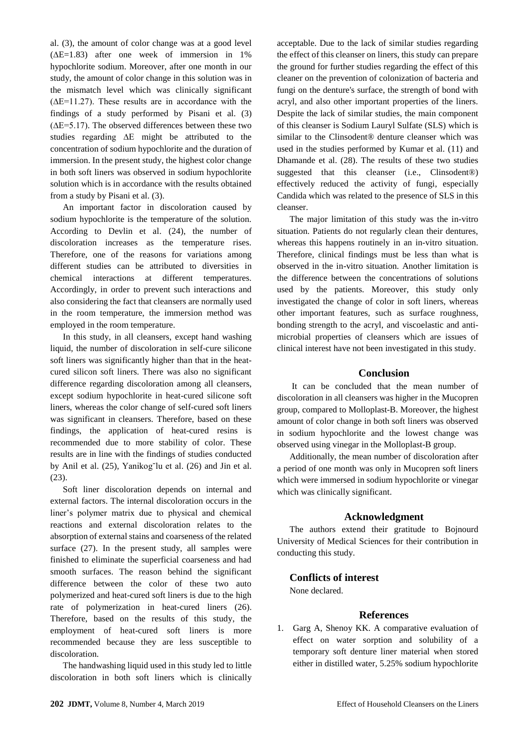al. (3), the amount of color change was at a good level  $(\Delta E=1.83)$  after one week of immersion in 1% hypochlorite sodium. Moreover, after one month in our study, the amount of color change in this solution was in the mismatch level which was clinically significant (∆E=11.27). These results are in accordance with the findings of a study performed by Pisani et al. (3) (∆E=5.17). The observed differences between these two studies regarding ∆E might be attributed to the concentration of sodium hypochlorite and the duration of immersion. In the present study, the highest color change in both soft liners was observed in sodium hypochlorite solution which is in accordance with the results obtained from a study by Pisani et al. (3).

An important factor in discoloration caused by sodium hypochlorite is the temperature of the solution. According to Devlin et al. (24), the number of discoloration increases as the temperature rises. Therefore, one of the reasons for variations among different studies can be attributed to diversities in chemical interactions at different temperatures. Accordingly, in order to prevent such interactions and also considering the fact that cleansers are normally used in the room temperature, the immersion method was employed in the room temperature.

In this study, in all cleansers, except hand washing liquid, the number of discoloration in self-cure silicone soft liners was significantly higher than that in the heatcured silicon soft liners. There was also no significant difference regarding discoloration among all cleansers, except sodium hypochlorite in heat-cured silicone soft liners, whereas the color change of self-cured soft liners was significant in cleansers. Therefore, based on these findings, the application of heat-cured resins is recommended due to more stability of color. These results are in line with the findings of studies conducted by Anil et al. (25), Yanikog˘lu et al. (26) and Jin et al. (23).

Soft liner discoloration depends on internal and external factors. The internal discoloration occurs in the liner's polymer matrix due to physical and chemical reactions and external discoloration relates to the absorption of external stains and coarseness of the related surface (27). In the present study, all samples were finished to eliminate the superficial coarseness and had smooth surfaces. The reason behind the significant difference between the color of these two auto polymerized and heat-cured soft liners is due to the high rate of polymerization in heat-cured liners (26). Therefore, based on the results of this study, the employment of heat-cured soft liners is more recommended because they are less susceptible to discoloration.

The handwashing liquid used in this study led to little discoloration in both soft liners which is clinically acceptable. Due to the lack of similar studies regarding the effect of this cleanser on liners, this study can prepare the ground for further studies regarding the effect of this cleaner on the prevention of colonization of bacteria and fungi on the denture's surface, the strength of bond with acryl, and also other important properties of the liners. Despite the lack of similar studies, the main component of this cleanser is Sodium Lauryl Sulfate (SLS) which is similar to the Clinsodent® denture cleanser which was used in the studies performed by Kumar et al. (11) and Dhamande et al. (28). The results of these two studies suggested that this cleanser (i.e., Clinsodent®) effectively reduced the activity of fungi, especially Candida which was related to the presence of SLS in this cleanser.

The major limitation of this study was the in-vitro situation. Patients do not regularly clean their dentures, whereas this happens routinely in an in-vitro situation. Therefore, clinical findings must be less than what is observed in the in-vitro situation. Another limitation is the difference between the concentrations of solutions used by the patients. Moreover, this study only investigated the change of color in soft liners, whereas other important features, such as surface roughness, bonding strength to the acryl, and viscoelastic and antimicrobial properties of cleansers which are issues of clinical interest have not been investigated in this study.

## **Conclusion**

It can be concluded that the mean number of discoloration in all cleansers was higher in the Mucopren group, compared to Molloplast-B. Moreover, the highest amount of color change in both soft liners was observed in sodium hypochlorite and the lowest change was observed using vinegar in the Molloplast-B group.

Additionally, the mean number of discoloration after a period of one month was only in Mucopren soft liners which were immersed in sodium hypochlorite or vinegar which was clinically significant.

## **Acknowledgment**

The authors extend their gratitude to Bojnourd University of Medical Sciences for their contribution in conducting this study.

## **Conflicts of interest**

None declared.

## **References**

1. Garg A, Shenoy KK. A comparative evaluation of effect on water sorption and solubility of a temporary soft denture liner material when stored either in distilled water, 5.25% sodium hypochlorite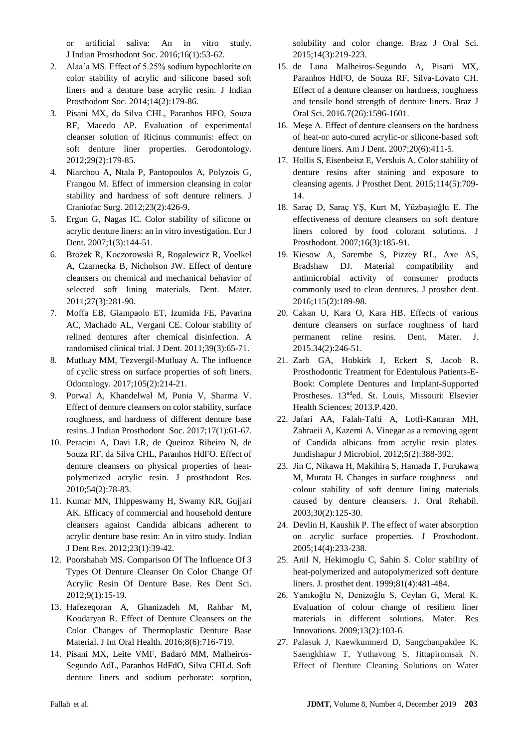or artificial saliva: An in vitro study. J Indian Prosthodont Soc. 2016;16(1):53-62.

- 2. Alaa'a MS. Effect of 5.25% sodium hypochlorite on color stability of acrylic and silicone based soft liners and a denture base acrylic resin. J Indian Prosthodont Soc. 2014;14(2):179-86.
- 3. Pisani MX, da Silva CHL, Paranhos HFO, Souza RF, Macedo AP. Evaluation of experimental cleanser solution of Ricinus communis: effect on soft denture liner properties. Gerodontology. 2012;29(2):179-85.
- 4. Niarchou A, Ntala P, Pantopoulos A, Polyzois G, Frangou M. Effect of immersion cleansing in color stability and hardness of soft denture reliners. J Craniofac Surg. 2012;23(2):426-9.
- 5. Ergun G, Nagas IC. Color stability of silicone or acrylic denture liners: an in vitro investigation. Eur J Dent. 2007;1(3):144-51.
- 6. Brożek R, Koczorowski R, Rogalewicz R, Voelkel A, Czarnecka B, Nicholson JW. Effect of denture cleansers on chemical and mechanical behavior of selected soft lining materials. Dent. Mater. 2011;27(3):281-90.
- 7. Moffa EB, Giampaolo ET, Izumida FE, Pavarina AC, Machado AL, Vergani CE. Colour stability of relined dentures after chemical disinfection. A randomised clinical trial. J Dent. 2011;39(3):65-71.
- 8. Mutluay MM, Tezvergil-Mutluay A. The influence of cyclic stress on surface properties of soft liners. Odontology. 2017;105(2):214-21.
- 9. Porwal A, Khandelwal M, Punia V, Sharma V. Effect of denture cleansers on color stability, surface roughness, and hardness of different denture base resins. J Indian Prosthodont Soc. 2017;17(1):61-67.
- 10. Peracini A, Davi LR, de Queiroz Ribeiro N, de Souza RF, da Silva CHL, Paranhos HdFO. Effect of denture cleansers on physical properties of heatpolymerized acrylic resin. J prosthodont Res. 2010;54(2):78-83.
- 11. Kumar MN, Thippeswamy H, Swamy KR, Gujjari AK. Efficacy of commercial and household denture cleansers against Candida albicans adherent to acrylic denture base resin: An in vitro study. Indian J Dent Res. 2012;23(1):39-42.
- 12. Poorshahab MS. Comparison Of The Influence Of 3 Types Of Denture Cleanser On Color Change Of Acrylic Resin Of Denture Base. Res Dent Sci. 2012;9(1):15-19.
- 13. Hafezeqoran A, Ghanizadeh M, Rahbar M, Koodaryan R. Effect of Denture Cleansers on the Color Changes of Thermoplastic Denture Base Material. J Int Oral Health. 2016;8(6):716-719.
- 14. Pisani MX, Leite VMF, Badaró MM, Malheiros-Segundo AdL, Paranhos HdFdO, Silva CHLd. Soft denture liners and sodium perborate: sorption,

solubility and color change. Braz J Oral Sci. 2015;14(3):219-223.

- 15. de Luna Malheiros-Segundo A, Pisani MX, Paranhos HdFO, de Souza RF, Silva-Lovato CH. Effect of a denture cleanser on hardness, roughness and tensile bond strength of denture liners. Braz J Oral Sci. 2016.7(26):1596-1601.
- 16. Meşe A. Effect of denture cleansers on the hardness of heat-or auto-cured acrylic-or silicone-based soft denture liners. Am J Dent. 2007;20(6):411-5.
- 17. Hollis S, Eisenbeisz E, Versluis A. Color stability of denture resins after staining and exposure to cleansing agents. J Prosthet Dent. 2015;114(5):709- 14.
- 18. Saraç D, Saraç YŞ, Kurt M, Yüzbaşioğlu E. The effectiveness of denture cleansers on soft denture liners colored by food colorant solutions. J Prosthodont. 2007;16(3):185-91.
- 19. Kiesow A, Sarembe S, Pizzey RL, Axe AS, Bradshaw DJ. Material compatibility and antimicrobial activity of consumer products commonly used to clean dentures. J prosthet dent. 2016;115(2):189-98.
- 20. Cakan U, Kara O, Kara HB. Effects of various denture cleansers on surface roughness of hard permanent reline resins. Dent. Mater. J. 2015.34(2):246-51.
- 21. Zarb GA, Hobkirk J, Eckert S, Jacob R. Prosthodontic Treatment for Edentulous Patients-E-Book: Complete Dentures and Implant-Supported Prostheses. 13nded. St. Louis, Missouri: Elsevier Health Sciences; 2013.P.420.
- 22. Jafari AA, Falah-Tafti A, Lotfi-Kamran MH, Zahraeii A, Kazemi A. Vinegar as a removing agent of Candida albicans from acrylic resin plates. Jundishapur J Microbiol. 2012;5(2):388-392.
- 23. Jin C, Nikawa H, Makihira S, Hamada T, Furukawa M, Murata H. Changes in surface roughness and colour stability of soft denture lining materials caused by denture cleansers. J. Oral Rehabil. 2003;30(2):125-30.
- 24. Devlin H, Kaushik P. The effect of water absorption on acrylic surface properties. J Prosthodont. 2005;14(4):233-238.
- 25. Anil N, Hekimoglu C, Sahin S. Color stability of heat-polymerized and autopolymerized soft denture liners. J. prosthet dent. 1999;81(4):481-484.
- 26. Yanıkoğlu N, Denizoğlu S, Ceylan G, Meral K. Evaluation of colour change of resilient liner materials in different solutions. Mater. Res Innovations. 2009;13(2):103-6.
- 27. Palasuk J, Kaewkumnerd D, Sangchanpakdee K, Saengkhiaw T, Yuthavong S, Jittapiromsak N. Effect of Denture Cleaning Solutions on Water